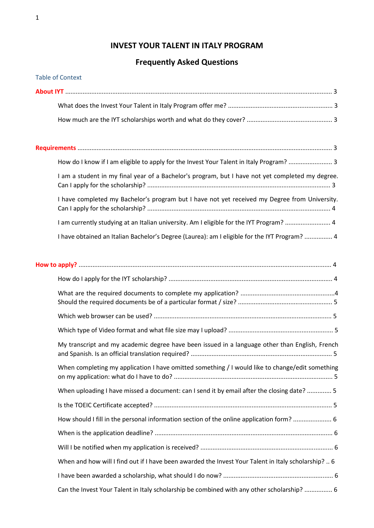# **INVEST YOUR TALENT IN ITALY PROGRAM**

# **Frequently Asked Questions**

| <b>Table of Context</b>                                                                          |
|--------------------------------------------------------------------------------------------------|
|                                                                                                  |
|                                                                                                  |
|                                                                                                  |
|                                                                                                  |
| How do I know if I am eligible to apply for the Invest Your Talent in Italy Program?  3          |
| I am a student in my final year of a Bachelor's program, but I have not yet completed my degree. |
| I have completed my Bachelor's program but I have not yet received my Degree from University.    |
| I am currently studying at an Italian university. Am I eligible for the IYT Program?  4          |
| I have obtained an Italian Bachelor's Degree (Laurea): am I eligible for the IYT Program?  4     |
|                                                                                                  |
|                                                                                                  |
|                                                                                                  |
|                                                                                                  |
|                                                                                                  |
| My transcript and my academic degree have been issued in a language other than English, French   |
| When completing my application I have omitted something / I would like to change/edit something  |
|                                                                                                  |

When uploading I have missed a document: can I send it by email after the closing date? .............. 5 Is the TOEIC Certificate accepted? ...................................................................................................... 5 How should I fill in the personal information section of the online application form? ...................... 6

| When and how will I find out if I have been awarded the Invest Your Talent in Italy scholarship?  6 |  |
|-----------------------------------------------------------------------------------------------------|--|
|                                                                                                     |  |
| Can the Invest Your Talent in Italy scholarship be combined with any other scholarship?  6          |  |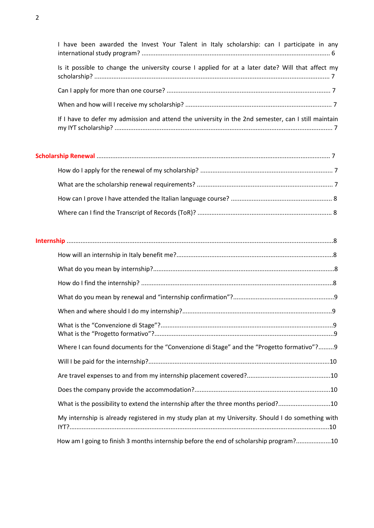| I have been awarded the Invest Your Talent in Italy scholarship: can I participate in any           |
|-----------------------------------------------------------------------------------------------------|
| Is it possible to change the university course I applied for at a later date? Will that affect my   |
|                                                                                                     |
|                                                                                                     |
| If I have to defer my admission and attend the university in the 2nd semester, can I still maintain |

| Where I can found documents for the "Convenzione di Stage" and the "Progetto formativo"?9         |
|---------------------------------------------------------------------------------------------------|
|                                                                                                   |
|                                                                                                   |
|                                                                                                   |
| What is the possibility to extend the internship after the three months period?10                 |
| My internship is already registered in my study plan at my University. Should I do something with |
| How am I going to finish 3 months internship before the end of scholarship program?10             |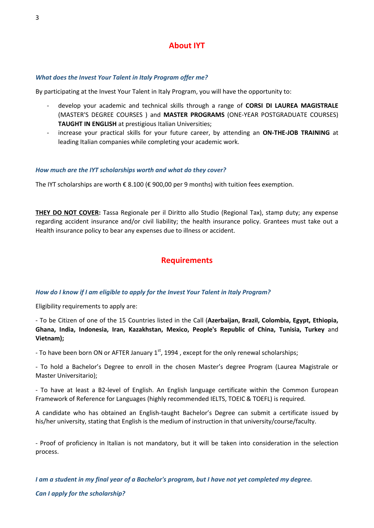# *What does the Invest Your Talent in Italy Program offer me?*

By participating at the Invest Your Talent in Italy Program, you will have the opportunity to:

- develop your academic and technical skills through a range of **CORSI DI LAUREA MAGISTRALE** (MASTER'S DEGREE COURSES ) and **MASTER PROGRAMS** (ONE-YEAR POSTGRADUATE COURSES) **TAUGHT IN ENGLISH** at prestigious Italian Universities;
- increase your practical skills for your future career, by attending an **ON-THE-JOB TRAINING** at leading Italian companies while completing your academic work.

# *How much are the IYT scholarships worth and what do they cover?*

The IYT scholarships are worth € 8.100 (€ 900,00 per 9 months) with tuition fees exemption.

**THEY DO NOT COVER:** Tassa Regionale per il Diritto allo Studio (Regional Tax), stamp duty; any expense regarding accident insurance and/or civil liability; the health insurance policy. Grantees must take out a Health insurance policy to bear any expenses due to illness or accident.

# **Requirements**

# *How do I know if I am eligible to apply for the Invest Your Talent in Italy Program?*

Eligibility requirements to apply are:

- To be Citizen of one of the 15 Countries listed in the Call (**Azerbaijan, Brazil, Colombia, Egypt, Ethiopia, Ghana, India, Indonesia, Iran, Kazakhstan, Mexico, People's Republic of China, Tunisia, Turkey** and **Vietnam);**

- To have been born ON or AFTER January  $1<sup>st</sup>$ , 1994, except for the only renewal scholarships;

- To hold a Bachelor's Degree to enroll in the chosen Master's degree Program (Laurea Magistrale or Master Universitario);

- To have at least a B2-level of English. An English language certificate within the Common European Framework of Reference for Languages (highly recommended IELTS, TOEIC & TOEFL) is required.

A candidate who has obtained an English-taught Bachelor's Degree can submit a certificate issued by his/her university, stating that English is the medium of instruction in that university/course/faculty.

- Proof of proficiency in Italian is not mandatory, but it will be taken into consideration in the selection process.

*I am a student in my final year of a Bachelor's program, but I have not yet completed my degree.*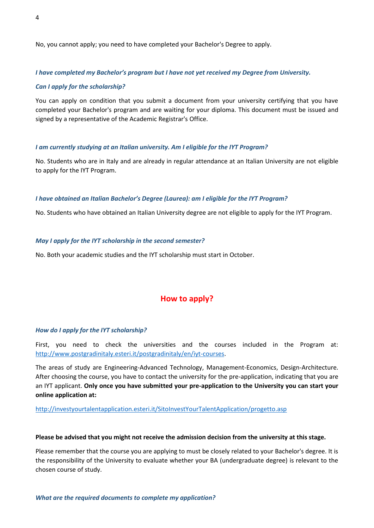No, you cannot apply; you need to have completed your Bachelor's Degree to apply.

## *I have completed my Bachelor's program but I have not yet received my Degree from University.*

### *Can I apply for the scholarship?*

You can apply on condition that you submit a document from your university certifying that you have completed your Bachelor's program and are waiting for your diploma. This document must be issued and signed by a representative of the Academic Registrar's Office.

#### *I am currently studying at an Italian university. Am I eligible for the IYT Program?*

No. Students who are in Italy and are already in regular attendance at an Italian University are not eligible to apply for the IYT Program.

#### *I have obtained an Italian Bachelor's Degree (Laurea): am I eligible for the IYT Program?*

No. Students who have obtained an Italian University degree are not eligible to apply for the IYT Program.

#### *May I apply for the IYT scholarship in the second semester?*

No. Both your academic studies and the IYT scholarship must start in October.

# **How to apply?**

#### *How do I apply for the IYT scholarship?*

First, you need to check the universities and the courses included in the Program at: [http://www.postgradinitaly.esteri.it/postgradinitaly/en/iyt-courses.](http://www.postgradinitaly.esteri.it/postgradinitaly/en/iyt-courses)

The areas of study are Engineering-Advanced Technology, Management-Economics, Design-Architecture. After choosing the course, you have to contact the university for the pre-application, indicating that you are an IYT applicant. **Only once you have submitted your pre-application to the University you can start your online application at:**

#### <http://investyourtalentapplication.esteri.it/SitoInvestYourTalentApplication/progetto.asp>

#### **Please be advised that you might not receive the admission decision from the university at this stage.**

Please remember that the course you are applying to must be closely related to your Bachelor's degree. It is the responsibility of the University to evaluate whether your BA (undergraduate degree) is relevant to the chosen course of study.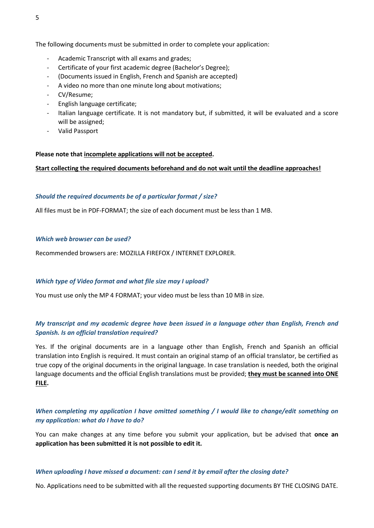The following documents must be submitted in order to complete your application:

- Academic Transcript with all exams and grades;
- Certificate of your first academic degree (Bachelor's Degree);
- (Documents issued in English, French and Spanish are accepted)
- A video no more than one minute long about motivations;
- CV/Resume;
- English language certificate;
- Italian language certificate. It is not mandatory but, if submitted, it will be evaluated and a score will be assigned;
- Valid Passport

## **Please note that incomplete applications will not be accepted.**

#### **Start collecting the required documents beforehand and do not wait until the deadline approaches!**

#### *Should the required documents be of a particular format / size?*

All files must be in PDF-FORMAT; the size of each document must be less than 1 MB.

#### *Which web browser can be used?*

Recommended browsers are: MOZILLA FIREFOX / INTERNET EXPLORER.

#### *Which type of Video format and what file size may I upload?*

You must use only the MP 4 FORMAT; your video must be less than 10 MB in size.

# *My transcript and my academic degree have been issued in a language other than English, French and Spanish. Is an official translation required?*

Yes. If the original documents are in a language other than English, French and Spanish an official translation into English is required. It must contain an original stamp of an official translator, be certified as true copy of the original documents in the original language. In case translation is needed, both the original language documents and the official English translations must be provided; **they must be scanned into ONE FILE.**

# *When completing my application I have omitted something / I would like to change/edit something on my application: what do I have to do?*

You can make changes at any time before you submit your application, but be advised that **once an application has been submitted it is not possible to edit it.**

#### *When uploading I have missed a document: can I send it by email after the closing date?*

No. Applications need to be submitted with all the requested supporting documents BY THE CLOSING DATE.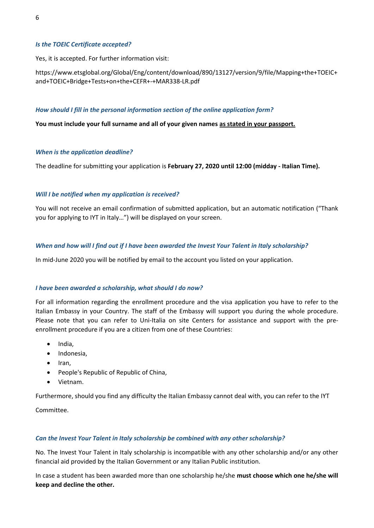### *Is the TOEIC Certificate accepted?*

Yes, it is accepted. For further information visit:

https://www.etsglobal.org/Global/Eng/content/download/890/13127/version/9/file/Mapping+the+TOEIC+ and+TOEIC+Bridge+Tests+on+the+CEFR+-+MAR338-LR.pdf

#### *How should I fill in the personal information section of the online application form?*

**You must include your full surname and all of your given names as stated in your passport.**

#### *When is the application deadline?*

The deadline for submitting your application is **February 27, 2020 until 12:00 (midday - Italian Time).**

#### *Will I be notified when my application is received?*

You will not receive an email confirmation of submitted application, but an automatic notification ("Thank you for applying to IYT in Italy…") will be displayed on your screen.

#### *When and how will I find out if I have been awarded the Invest Your Talent in Italy scholarship?*

In mid-June 2020 you will be notified by email to the account you listed on your application.

#### *I have been awarded a scholarship, what should I do now?*

For all information regarding the enrollment procedure and the visa application you have to refer to the Italian Embassy in your Country. The staff of the Embassy will support you during the whole procedure. Please note that you can refer to Uni-Italia on site Centers for assistance and support with the preenrollment procedure if you are a citizen from one of these Countries:

- India.
- Indonesia,
- $\bullet$  Iran,
- People's Republic of Republic of China,
- Vietnam.

Furthermore, should you find any difficulty the Italian Embassy cannot deal with, you can refer to the IYT

Committee.

#### *Can the Invest Your Talent in Italy scholarship be combined with any other scholarship?*

No. The Invest Your Talent in Italy scholarship is incompatible with any other scholarship and/or any other financial aid provided by the Italian Government or any Italian Public institution.

In case a student has been awarded more than one scholarship he/she **must choose which one he/she will keep and decline the other.**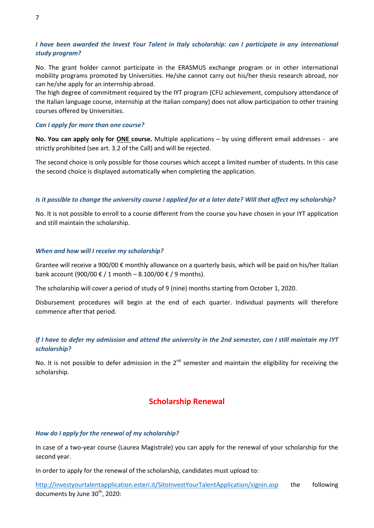# *I have been awarded the Invest Your Talent in Italy scholarship: can I participate in any international study program?*

No. The grant holder cannot participate in the ERASMUS exchange program or in other international mobility programs promoted by Universities. He/she cannot carry out his/her thesis research abroad, nor can he/she apply for an internship abroad.

The high degree of commitment required by the IYT program (CFU achievement, compulsory attendance of the Italian language course, internship at the Italian company) does not allow participation to other training courses offered by Universities.

### *Can I apply for more than one course?*

**No. You can apply only for ONE course.** Multiple applications – by using different email addresses - are strictly prohibited (see art. 3.2 of the Call) and will be rejected.

The second choice is only possible for those courses which accept a limited number of students. In this case the second choice is displayed automatically when completing the application.

## *Is it possible to change the university course I applied for at a later date? Will that affect my scholarship?*

No. It is not possible to enroll to a course different from the course you have chosen in your IYT application and still maintain the scholarship.

## *When and how will I receive my scholarship?*

Grantee will receive a 900/00 € monthly allowance on a quarterly basis, which will be paid on his/her Italian bank account (900/00 € / 1 month – 8.100/00 € / 9 months).

The scholarship will cover a period of study of 9 (nine) months starting from October 1, 2020.

Disbursement procedures will begin at the end of each quarter. Individual payments will therefore commence after that period.

# *If I have to defer my admission and attend the university in the 2nd semester, can I still maintain my IYT scholarship?*

No. It is not possible to defer admission in the  $2^{nd}$  semester and maintain the eligibility for receiving the scholarship.

# **Scholarship Renewal**

# *How do I apply for the renewal of my scholarship?*

In case of a two-year course (Laurea Magistrale) you can apply for the renewal of your scholarship for the second year.

In order to apply for the renewal of the scholarship, candidates must upload to:

<http://investyourtalentapplication.esteri.it/SitoInvestYourTalentApplication/signin.asp> the following documents by June 30<sup>th</sup>, 2020: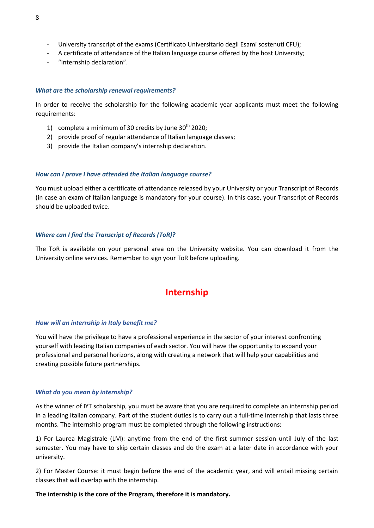- University transcript of the exams (Certificato Universitario degli Esami sostenuti CFU);
- A certificate of attendance of the Italian language course offered by the host University;
- "Internship declaration".

## *What are the scholarship renewal requirements?*

In order to receive the scholarship for the following academic year applicants must meet the following requirements:

- 1) complete a minimum of 30 credits by June  $30<sup>th</sup>$  2020;
- 2) provide proof of regular attendance of Italian language classes;
- 3) provide the Italian company's internship declaration.

## *How can I prove I have attended the Italian language course?*

You must upload either a certificate of attendance released by your University or your Transcript of Records (in case an exam of Italian language is mandatory for your course). In this case, your Transcript of Records should be uploaded twice.

# *Where can I find the Transcript of Records (ToR)?*

The ToR is available on your personal area on the University website. You can download it from the University online services. Remember to sign your ToR before uploading.

# **Internship**

#### *How will an internship in Italy benefit me?*

You will have the privilege to have a professional experience in the sector of your interest confronting yourself with leading Italian companies of each sector. You will have the opportunity to expand your professional and personal horizons, along with creating a network that will help your capabilities and creating possible future partnerships.

# *What do you mean by internship?*

As the winner of IYT scholarship, you must be aware that you are required to complete an internship period in a leading Italian company. Part of the student duties is to carry out a full-time internship that lasts three months. The internship program must be completed through the following instructions:

1) For Laurea Magistrale (LM): anytime from the end of the first summer session until July of the last semester. You may have to skip certain classes and do the exam at a later date in accordance with your university.

2) For Master Course: it must begin before the end of the academic year, and will entail missing certain classes that will overlap with the internship.

# **The internship is the core of the Program, therefore it is mandatory.**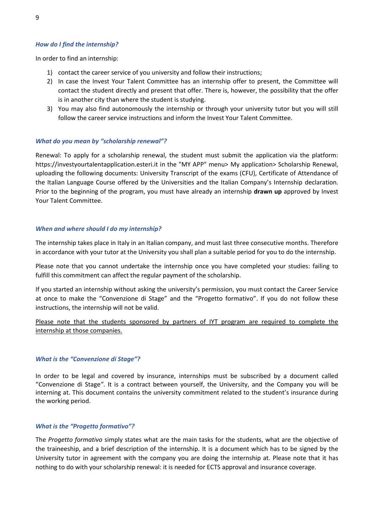# *How do I find the internship?*

In order to find an internship:

- 1) contact the career service of you university and follow their instructions;
- 2) In case the Invest Your Talent Committee has an internship offer to present, the Committee will contact the student directly and present that offer. There is, however, the possibility that the offer is in another city than where the student is studying.
- 3) You may also find autonomously the internship or through your university tutor but you will still follow the career service instructions and inform the Invest Your Talent Committee.

## *What do you mean by "scholarship renewal"?*

Renewal: To apply for a scholarship renewal, the student must submit the application via the platform: https://investyourtalentapplication.esteri.it in the "MY APP" menu> My application> Scholarship Renewal, uploading the following documents: University Transcript of the exams (CFU), Certificate of Attendance of the Italian Language Course offered by the Universities and the Italian Company's Internship declaration. Prior to the beginning of the program, you must have already an internship **drawn up** approved by Invest Your Talent Committee.

## *When and where should I do my internship?*

The internship takes place in Italy in an Italian company, and must last three consecutive months. Therefore in accordance with your tutor at the University you shall plan a suitable period for you to do the internship.

Please note that you cannot undertake the internship once you have completed your studies: failing to fulfill this commitment can affect the regular payment of the scholarship.

If you started an internship without asking the university's permission, you must contact the Career Service at once to make the "Convenzione di Stage" and the "Progetto formativo". If you do not follow these instructions, the internship will not be valid.

Please note that the students sponsored by partners of IYT program are required to complete the internship at those companies.

# *What is the "Convenzione di Stage"?*

In order to be legal and covered by insurance, internships must be subscribed by a document called "Convenzione di Stage*"*. It is a contract between yourself, the University, and the Company you will be interning at. This document contains the university commitment related to the student's insurance during the working period.

#### *What is the "Progetto formativo"?*

The *Progetto formativo* simply states what are the main tasks for the students, what are the objective of the traineeship, and a brief description of the internship. It is a document which has to be signed by the University tutor in agreement with the company you are doing the internship at. Please note that it has nothing to do with your scholarship renewal: it is needed for ECTS approval and insurance coverage.